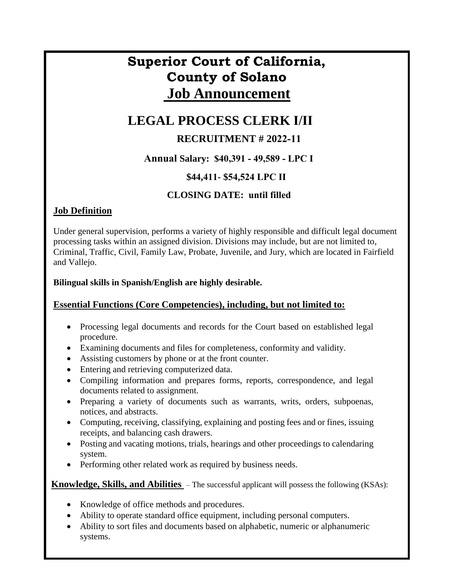# **Superior Court of California, County of Solano Job Announcement**

## **LEGAL PROCESS CLERK I/II**

## **RECRUITMENT # 2022-11**

## **Annual Salary: \$40,391 - 49,589 - LPC I**

## **\$44,411- \$54,524 LPC II**

## **CLOSING DATE: until filled**

## **Job Definition**

Under general supervision, performs a variety of highly responsible and difficult legal document processing tasks within an assigned division. Divisions may include, but are not limited to, Criminal, Traffic, Civil, Family Law, Probate, Juvenile, and Jury, which are located in Fairfield and Vallejo.

### **Bilingual skills in Spanish/English are highly desirable.**

### **Essential Functions (Core Competencies), including, but not limited to:**

- Processing legal documents and records for the Court based on established legal procedure.
- Examining documents and files for completeness, conformity and validity.
- Assisting customers by phone or at the front counter.
- Entering and retrieving computerized data.
- Compiling information and prepares forms, reports, correspondence, and legal documents related to assignment.
- Preparing a variety of documents such as warrants, writs, orders, subpoenas, notices, and abstracts.
- Computing, receiving, classifying, explaining and posting fees and or fines, issuing receipts, and balancing cash drawers.
- Posting and vacating motions, trials, hearings and other proceedings to calendaring system.
- Performing other related work as required by business needs.

**Knowledge, Skills, and Abilities** – The successful applicant will possess the following (KSAs):

- Knowledge of office methods and procedures.
- Ability to operate standard office equipment, including personal computers.
- Ability to sort files and documents based on alphabetic, numeric or alphanumeric systems.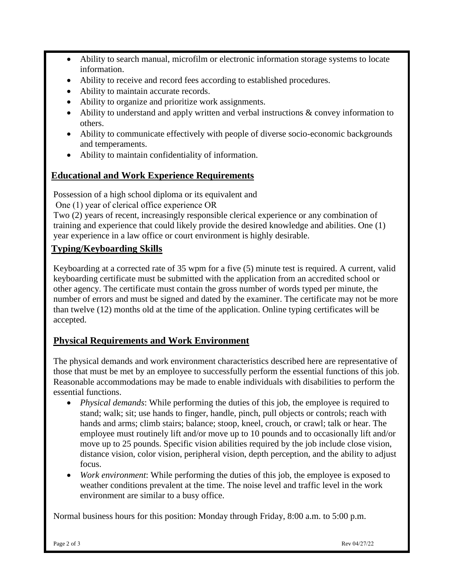- Ability to search manual, microfilm or electronic information storage systems to locate information.
- Ability to receive and record fees according to established procedures.
- Ability to maintain accurate records.
- Ability to organize and prioritize work assignments.
- Ability to understand and apply written and verbal instructions & convey information to others.
- Ability to communicate effectively with people of diverse socio-economic backgrounds and temperaments.
- Ability to maintain confidentiality of information.

## **Educational and Work Experience Requirements**

Possession of a high school diploma or its equivalent and

One (1) year of clerical office experience OR

Two (2) years of recent, increasingly responsible clerical experience or any combination of training and experience that could likely provide the desired knowledge and abilities. One (1) year experience in a law office or court environment is highly desirable.

## **Typing/Keyboarding Skills**

Keyboarding at a corrected rate of 35 wpm for a five (5) minute test is required. A current, valid keyboarding certificate must be submitted with the application from an accredited school or other agency. The certificate must contain the gross number of words typed per minute, the number of errors and must be signed and dated by the examiner. The certificate may not be more than twelve (12) months old at the time of the application. Online typing certificates will be accepted.

## **Physical Requirements and Work Environment**

The physical demands and work environment characteristics described here are representative of those that must be met by an employee to successfully perform the essential functions of this job. Reasonable accommodations may be made to enable individuals with disabilities to perform the essential functions.

- *Physical demands*: While performing the duties of this job, the employee is required to stand; walk; sit; use hands to finger, handle, pinch, pull objects or controls; reach with hands and arms; climb stairs; balance; stoop, kneel, crouch, or crawl; talk or hear. The employee must routinely lift and/or move up to 10 pounds and to occasionally lift and/or move up to 25 pounds. Specific vision abilities required by the job include close vision, distance vision, color vision, peripheral vision, depth perception, and the ability to adjust focus.
- *Work environment*: While performing the duties of this job, the employee is exposed to weather conditions prevalent at the time. The noise level and traffic level in the work environment are similar to a busy office.

Normal business hours for this position: Monday through Friday, 8:00 a.m. to 5:00 p.m.